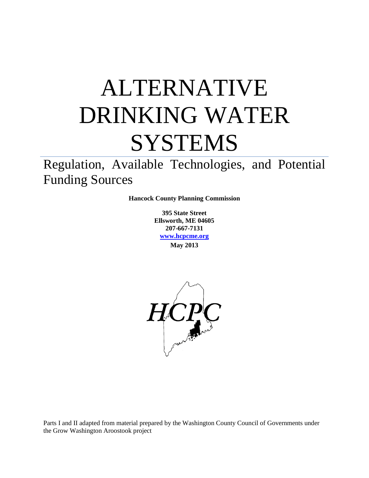# ALTERNATIVE DRINKING WATER **SYSTEMS**

Regulation, Available Technologies, and Potential Funding Sources

**Hancock County Planning Commission**

**395 State Street Ellsworth, ME 04605 207-667-7131 [www.hcpcme.org](http://www.hcpcme.org/) May 2013**



Parts I and II adapted from material prepared by the Washington County Council of Governments under the Grow Washington Aroostook project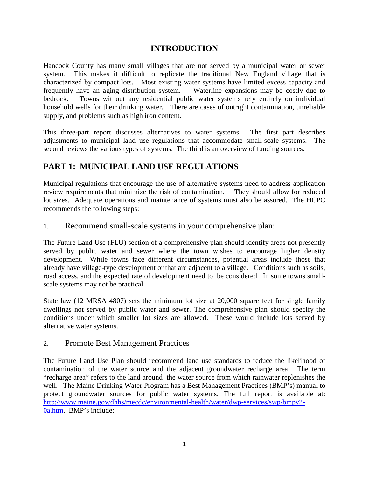#### **INTRODUCTION**

Hancock County has many small villages that are not served by a municipal water or sewer system. This makes it difficult to replicate the traditional New England village that is characterized by compact lots. Most existing water systems have limited excess capacity and frequently have an aging distribution system. Waterline expansions may be costly due to bedrock. Towns without any residential public water systems rely entirely on individual household wells for their drinking water. There are cases of outright contamination, unreliable supply, and problems such as high iron content.

This three-part report discusses alternatives to water systems. The first part describes adjustments to municipal land use regulations that accommodate small-scale systems. The second reviews the various types of systems. The third is an overview of funding sources.

# **PART 1: MUNICIPAL LAND USE REGULATIONS**

Municipal regulations that encourage the use of alternative systems need to address application review requirements that minimize the risk of contamination. They should allow for reduced lot sizes. Adequate operations and maintenance of systems must also be assured. The HCPC recommends the following steps:

#### 1. Recommend small-scale systems in your comprehensive plan:

The Future Land Use (FLU) section of a comprehensive plan should identify areas not presently served by public water and sewer where the town wishes to encourage higher density development. While towns face different circumstances, potential areas include those that already have village-type development or that are adjacent to a village. Conditions such as soils, road access, and the expected rate of development need to be considered. In some towns smallscale systems may not be practical.

State law (12 MRSA 4807) sets the minimum lot size at 20,000 square feet for single family dwellings not served by public water and sewer. The comprehensive plan should specify the conditions under which smaller lot sizes are allowed. These would include lots served by alternative water systems.

#### 2. Promote Best Management Practices

The Future Land Use Plan should recommend land use standards to reduce the likelihood of contamination of the water source and the adjacent groundwater recharge area. The term "recharge area" refers to the land around the water source from which rainwater replenishes the well. The Maine Drinking Water Program has a Best Management Practices (BMP's) manual to protect groundwater sources for public water systems. The full report is available at: [http://www.maine.gov/dhhs/mecdc/environmental-health/water/dwp-services/swp/bmpv2-](http://www.maine.gov/dhhs/mecdc/environmental-health/water/dwp-services/swp/bmpv2-0a.htm) [0a.htm.](http://www.maine.gov/dhhs/mecdc/environmental-health/water/dwp-services/swp/bmpv2-0a.htm) BMP's include: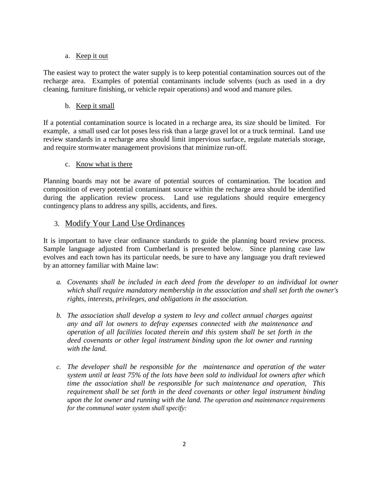#### a. Keep it out

The easiest way to protect the water supply is to keep potential contamination sources out of the recharge area. Examples of potential contaminants include solvents (such as used in a dry cleaning, furniture finishing, or vehicle repair operations) and wood and manure piles.

b. Keep it small

If a potential contamination source is located in a recharge area, its size should be limited. For example, a small used car lot poses less risk than a large gravel lot or a truck terminal. Land use review standards in a recharge area should limit impervious surface, regulate materials storage, and require stormwater management provisions that minimize run-off.

#### c. Know what is there

Planning boards may not be aware of potential sources of contamination. The location and composition of every potential contaminant source within the recharge area should be identified during the application review process. Land use regulations should require emergency contingency plans to address any spills, accidents, and fires.

#### 3. Modify Your Land Use Ordinances

It is important to have clear ordinance standards to guide the planning board review process. Sample language adjusted from Cumberland is presented below. Since planning case law evolves and each town has its particular needs, be sure to have any language you draft reviewed by an attorney familiar with Maine law:

- *a. Covenants shall be included in each deed from the developer to an individual lot owner which shall require mandatory membership in the association and shall set forth the owner's rights, interests, privileges, and obligations in the association.*
- *b. The association shall develop a system to levy and collect annual charges against any and all lot owners to defray expenses connected with the maintenance and operation of all facilities located therein and this system shall be set forth in the deed covenants or other legal instrument binding upon the lot owner and running with the land.*
- *c. The developer shall be responsible for the maintenance and operation of the water system until at least 75% of the lots have been sold to individual lot owners after which time the association shall be responsible for such maintenance and operation, This requirement shall be set forth in the deed covenants or other legal instrument binding upon the lot owner and running with the land. The operation and maintenance requirements for the communal water system shall specify:*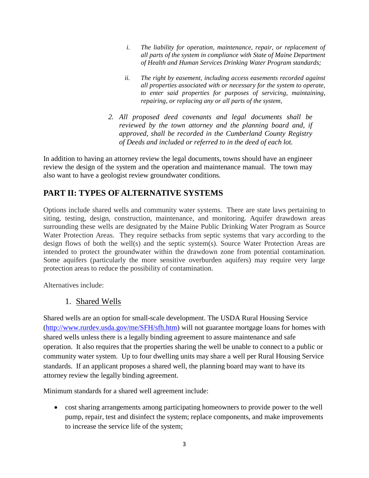- *i. The liability for operation, maintenance, repair, or replacement of all parts of the system in compliance with State of Maine Department of Health and Human Services Drinking Water Program standards;*
- *ii. The right by easement, including access easements recorded against all properties associated with or necessary for the system to operate, to enter said properties for purposes of servicing, maintaining, repairing, or replacing any or all parts of the system,*
- *2. All proposed deed covenants and legal documents shall be reviewed by the town attorney and the planning board and, if approved, shall be recorded in the Cumberland County Registry of Deeds and included or referred to in the deed of each lot.*

In addition to having an attorney review the legal documents, towns should have an engineer review the design of the system and the operation and maintenance manual. The town may also want to have a geologist review groundwater conditions.

### **PART II: TYPES OF ALTERNATIVE SYSTEMS**

Options include shared wells and community water systems. There are state laws pertaining to siting, testing, design, construction, maintenance, and monitoring. Aquifer drawdown areas surrounding these wells are designated by the Maine Public Drinking Water Program as Source Water Protection Areas. They require setbacks from septic systems that vary according to the design flows of both the well(s) and the septic system(s). Source Water Protection Areas are intended to protect the groundwater within the drawdown zone from potential contamination. Some aquifers (particularly the more sensitive overburden aquifers) may require very large protection areas to reduce the possibility of contamination.

Alternatives include:

#### 1. Shared Wells

Shared wells are an option for small-scale development. The USDA Rural Housing Service [\(http://www.rurdev.usda.gov/me/SFH/sfh.htm\)](http://www.rurdev.usda.gov/me/SFH/sfh.htm) will not guarantee mortgage loans for homes with shared wells unless there is a legally binding agreement to assure maintenance and safe operation. It also requires that the properties sharing the well be unable to connect to a public or community water system. Up to four dwelling units may share a well per Rural Housing Service standards. If an applicant proposes a shared well, the planning board may want to have its attorney review the legally binding agreement.

Minimum standards for a shared well agreement include:

• cost sharing arrangements among participating homeowners to provide power to the well pump, repair, test and disinfect the system; replace components, and make improvements to increase the service life of the system;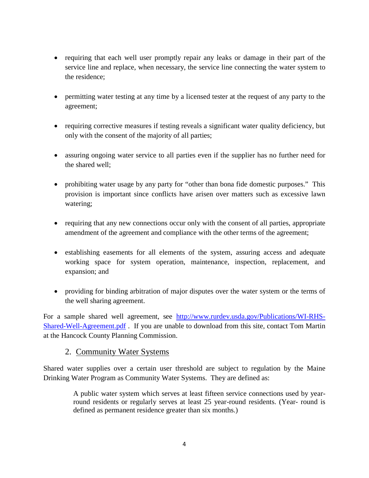- requiring that each well user promptly repair any leaks or damage in their part of the service line and replace, when necessary, the service line connecting the water system to the residence;
- permitting water testing at any time by a licensed tester at the request of any party to the agreement;
- requiring corrective measures if testing reveals a significant water quality deficiency, but only with the consent of the majority of all parties;
- assuring ongoing water service to all parties even if the supplier has no further need for the shared well;
- prohibiting water usage by any party for "other than bona fide domestic purposes." This provision is important since conflicts have arisen over matters such as excessive lawn watering;
- requiring that any new connections occur only with the consent of all parties, appropriate amendment of the agreement and compliance with the other terms of the agreement;
- establishing easements for all elements of the system, assuring access and adequate working space for system operation, maintenance, inspection, replacement, and expansion; and
- providing for binding arbitration of major disputes over the water system or the terms of the well sharing agreement.

For a sample shared well agreement, see [http://www.rurdev.usda.gov/Publications/WI-RHS-](http://www.rurdev.usda.gov/Publications/WI-RHS-Shared-Well-Agreement.pdf)[Shared-Well-Agreement.pdf](http://www.rurdev.usda.gov/Publications/WI-RHS-Shared-Well-Agreement.pdf) . If you are unable to download from this site, contact Tom Martin at the Hancock County Planning Commission.

#### 2. Community Water Systems

Shared water supplies over a certain user threshold are subject to regulation by the Maine Drinking Water Program as Community Water Systems. They are defined as:

> A public water system which serves at least fifteen service connections used by yearround residents or regularly serves at least 25 year-round residents. (Year- round is defined as permanent residence greater than six months.)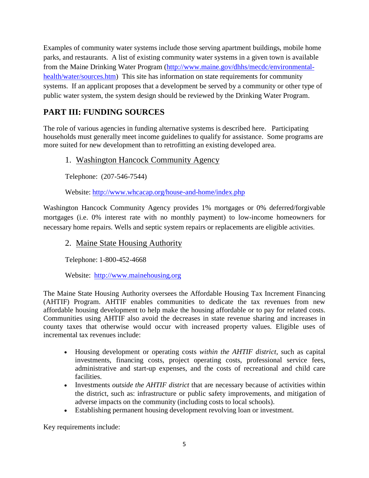Examples of community water systems include those serving apartment buildings, mobile home parks, and restaurants. A list of existing community water systems in a given town is available from the Maine Drinking Water Program [\(http://www.maine.gov/dhhs/mecdc/environmental](http://www.maine.gov/dhhs/mecdc/environmental-health/water/sources.htm)[health/water/sources.htm\)](http://www.maine.gov/dhhs/mecdc/environmental-health/water/sources.htm) This site has information on state requirements for community systems. If an applicant proposes that a development be served by a community or other type of public water system, the system design should be reviewed by the Drinking Water Program.

# **PART III: FUNDING SOURCES**

The role of various agencies in funding alternative systems is described here. Participating households must generally meet income guidelines to qualify for assistance. Some programs are more suited for new development than to retrofitting an existing developed area.

#### 1. Washington Hancock Community Agency

Telephone: (207-546-7544)

Website:<http://www.whcacap.org/house-and-home/index.php>

Washington Hancock Community Agency provides 1% mortgages or 0% deferred/forgivable mortgages (i.e. 0% interest rate with no monthly payment) to low-income homeowners for necessary home repairs. Wells and septic system repairs or replacements are eligible activities.

#### 2. Maine State Housing Authority

Telephone: 1-800-452-4668

Website: [http://www.mainehousing.org](http://www.mainehousing.org/)

The Maine State Housing Authority oversees the Affordable Housing Tax Increment Financing (AHTIF) Program. AHTIF enables communities to dedicate the tax revenues from new affordable housing development to help make the housing affordable or to pay for related costs. Communities using AHTIF also avoid the decreases in state revenue sharing and increases in county taxes that otherwise would occur with increased property values. Eligible uses of incremental tax revenues include:

- Housing development or operating costs *within the AHTIF district*, such as capital investments, financing costs, project operating costs, professional service fees, administrative and start-up expenses, and the costs of recreational and child care facilities.
- Investments *outside the AHTIF district* that are necessary because of activities within the district, such as: infrastructure or public safety improvements, and mitigation of adverse impacts on the community (including costs to local schools).
- Establishing permanent housing development revolving loan or investment.

Key requirements include: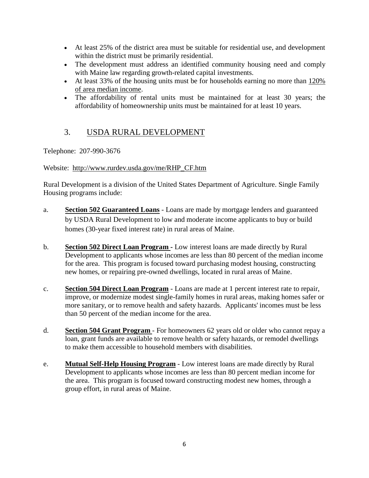- At least 25% of the district area must be suitable for residential use, and development within the district must be primarily residential.
- The development must address an identified community housing need and comply with Maine law regarding growth-related capital investments.
- At least 33% of the housing units must be for households earning no more than 120% [of area median income.](http://www.mainehousing.org/Charts/DATAMedianIncome120)
- The affordability of rental units must be maintained for at least 30 years; the affordability of homeownership units must be maintained for at least 10 years.

# 3. USDA RURAL DEVELOPMENT

Telephone: 207-990-3676

#### Website: [http://www.rurdev.usda.gov/me/RHP\\_CF.htm](http://www.rurdev.usda.gov/me/RHP_CF.htm)

Rural Development is a division of the United States Department of Agriculture. Single Family Housing programs include:

- a. **[Section 502 Guaranteed Loans](http://www.rurdev.usda.gov/me/SFH/Fact%20Sheets/502%20guaranteed%20factsheet%201-2009.pdf)** Loans are made by mortgage lenders and guaranteed by USDA Rural Development to low and moderate income applicants to buy or build homes (30-year fixed interest rate) in rural areas of Maine.
- b. **[Section 502 Direct Loan Program](http://www.rurdev.usda.gov/me/SFH/Fact%20Sheets/502%20Direct%2001-2009.pdf) -** Low interest loans are made directly by Rural Development to applicants whose incomes are less than 80 percent of the median income for the area. This program is focused toward purchasing modest housing, constructing new homes, or repairing pre-owned dwellings, located in rural areas of Maine.
- c. **[Section 504 Direct Loan Program](http://www.rurdev.usda.gov/me/SFH/Fact%20Sheets/504%20loan%2001-2009.pdf)** Loans are made at 1 percent interest rate to repair, improve, or modernize modest single-family homes in rural areas, making homes safer or more sanitary, or to remove health and safety hazards. Applicants' incomes must be less than 50 percent of the median income for the area.
- d. **[Section 504 Grant Program](http://www.rurdev.usda.gov/me/SFH/Fact%20Sheets/504%20grant%2001-2009.pdf)** For homeowners 62 years old or older who cannot repay a loan, grant funds are available to remove health or safety hazards, or remodel dwellings to make them accessible to household members with disabilities.
- e. **[Mutual Self-Help Housing Program](http://www.rurdev.usda.gov/me/SFH/selfhelp.htm)** Low interest loans are made directly by Rural Development to applicants whose incomes are less than 80 percent median income for the area. This program is focused toward constructing modest new homes, through a group effort, in rural areas of Maine.